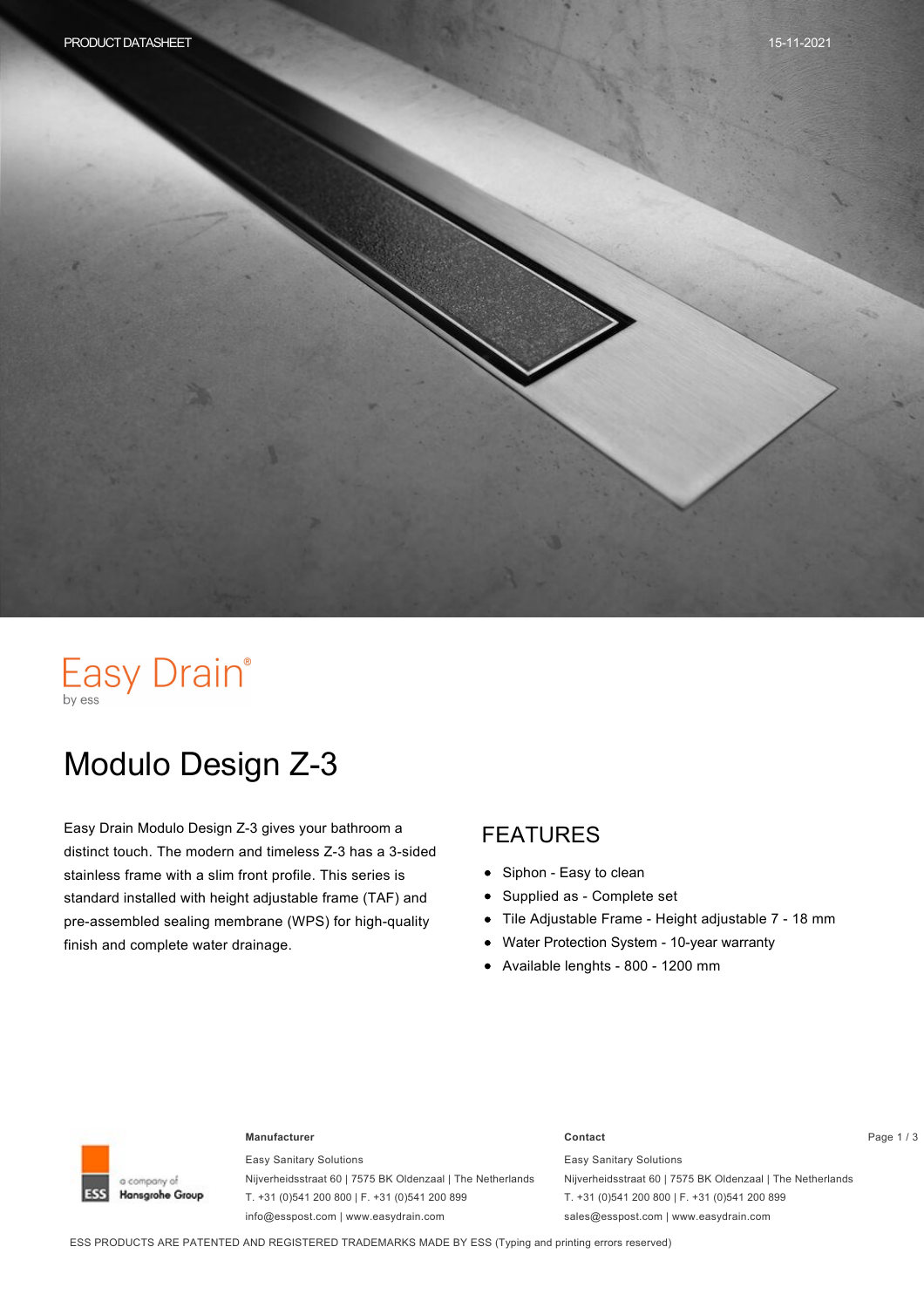# Easy Drain®

# Modulo Design Z-3

Easy Drain Modulo Design Z-3 gives your bathroom a distinct touch. The modern and timeless Z-3 has a 3-sided stainless frame with a slim front profile. This series is standard installed with height adjustable frame (TAF) and pre-assembled sealing membrane (WPS) for high-quality finish and complete water drainage.

#### FEATURES

- $\bullet$ Siphon - Easy to clean
- Supplied as Complete set  $\bullet$
- Tile Adjustable Frame Height adjustable 7 18 mm  $\bullet$
- Water Protection System 10-year warranty  $\bullet$
- Available lenghts 800 1200 mm



#### **Manufacturer Contact** Page 1 / 3

Easy Sanitary Solutions Nijverheidsstraat 60 | 7575 BK Oldenzaal | The Netherlands T. +31 (0)541 200 800 | F. +31 (0)541 200 899 info@esspost.com | www.easydrain.com

Easy Sanitary Solutions Nijverheidsstraat 60 | 7575 BK Oldenzaal | The Netherlands T. +31 (0)541 200 800 | F. +31 (0)541 200 899 sales@esspost.com | www.easydrain.com

ESS PRODUCTS ARE PATENTED AND REGISTERED TRADEMARKS MADE BY ESS (Typing and printing errors reserved)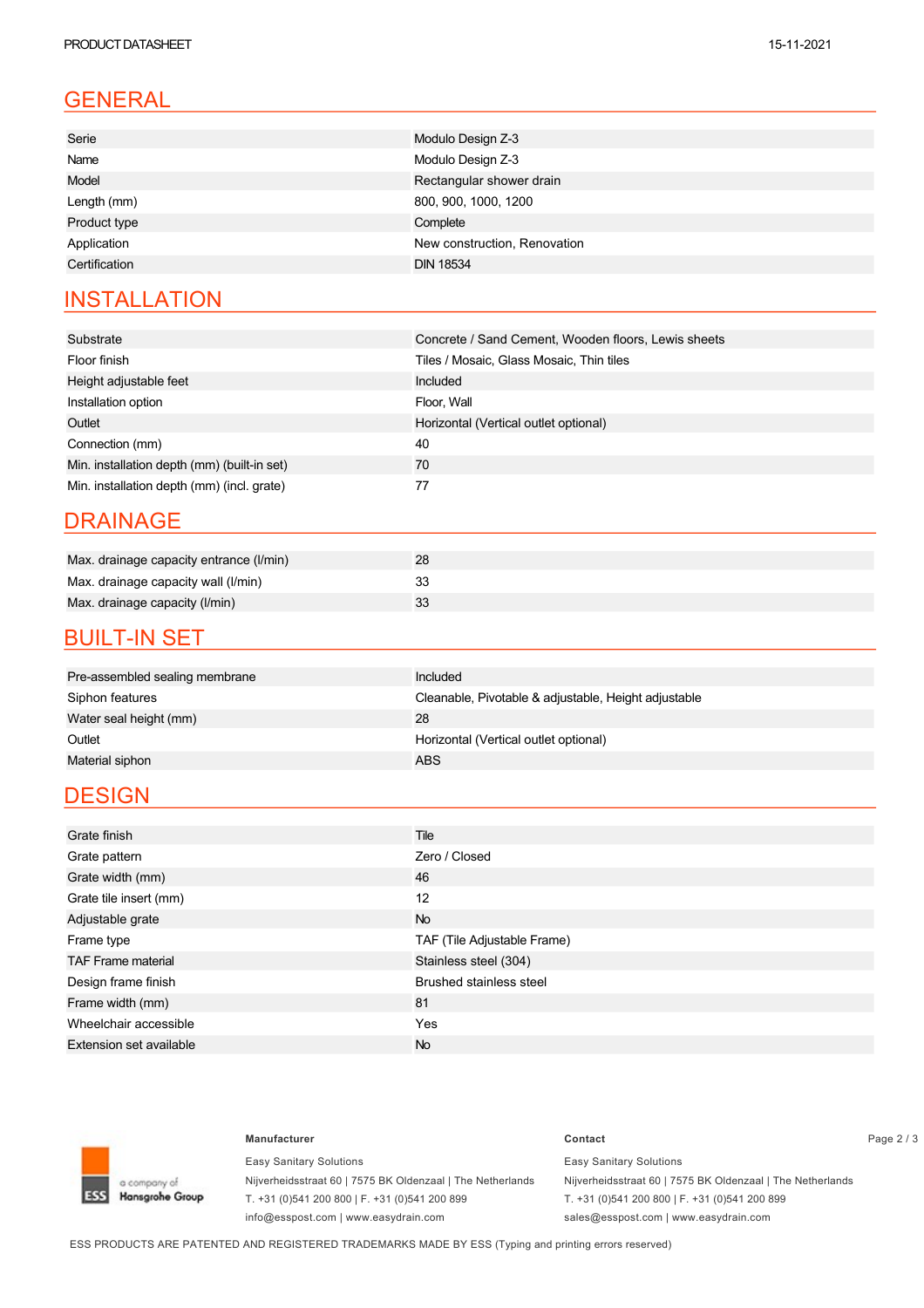## GENERAL

| Serie         | Modulo Design Z-3            |
|---------------|------------------------------|
| Name          | Modulo Design Z-3            |
| Model         | Rectangular shower drain     |
| Length (mm)   | 800, 900, 1000, 1200         |
| Product type  | Complete                     |
| Application   | New construction, Renovation |
| Certification | <b>DIN 18534</b>             |
|               |                              |

### **INSTALLATION**

| Substrate                                   | Concrete / Sand Cement, Wooden floors, Lewis sheets |
|---------------------------------------------|-----------------------------------------------------|
| Floor finish                                | Tiles / Mosaic, Glass Mosaic, Thin tiles            |
| Height adjustable feet                      | Included                                            |
| Installation option                         | Floor, Wall                                         |
| Outlet                                      | Horizontal (Vertical outlet optional)               |
| Connection (mm)                             | 40                                                  |
| Min. installation depth (mm) (built-in set) | 70                                                  |
| Min. installation depth (mm) (incl. grate)  | 77                                                  |

#### DRAINAGE

| Max. drainage capacity entrance (I/min) |  |
|-----------------------------------------|--|
| Max. drainage capacity wall (I/min)     |  |
| Max. drainage capacity (I/min)          |  |

#### **BUILT-IN SET**

| Pre-assembled sealing membrane | Included                                             |
|--------------------------------|------------------------------------------------------|
| Siphon features                | Cleanable, Pivotable & adjustable, Height adjustable |
| Water seal height (mm)         | 28                                                   |
| Outlet                         | Horizontal (Vertical outlet optional)                |
| Material siphon                | ABS.                                                 |

### **DESIGN**

| Grate finish                   | Tile                           |
|--------------------------------|--------------------------------|
| Grate pattern                  | Zero / Closed                  |
| Grate width (mm)               | 46                             |
| Grate tile insert (mm)         | 12                             |
| Adjustable grate               | <b>No</b>                      |
| Frame type                     | TAF (Tile Adjustable Frame)    |
| <b>TAF Frame material</b>      | Stainless steel (304)          |
| Design frame finish            | <b>Brushed stainless steel</b> |
| Frame width (mm)               | 81                             |
| Wheelchair accessible          | Yes                            |
| <b>Extension set available</b> | <b>No</b>                      |



Easy Sanitary Solutions Nijverheidsstraat 60 | 7575 BK Oldenzaal | The Netherlands T. +31 (0)541 200 800 | F. +31 (0)541 200 899 info@esspost.com | www.easydrain.com

#### **Manufacturer Contact** Page 2 / 3 Easy Sanitary Solutions Nijverheidsstraat 60 | 7575 BK Oldenzaal | The Netherlands

T. +31 (0)541 200 800 | F. +31 (0)541 200 899 sales@esspost.com | www.easydrain.com

ESS PRODUCTS ARE PATENTED AND REGISTERED TRADEMARKS MADE BY ESS (Typing and printing errors reserved)